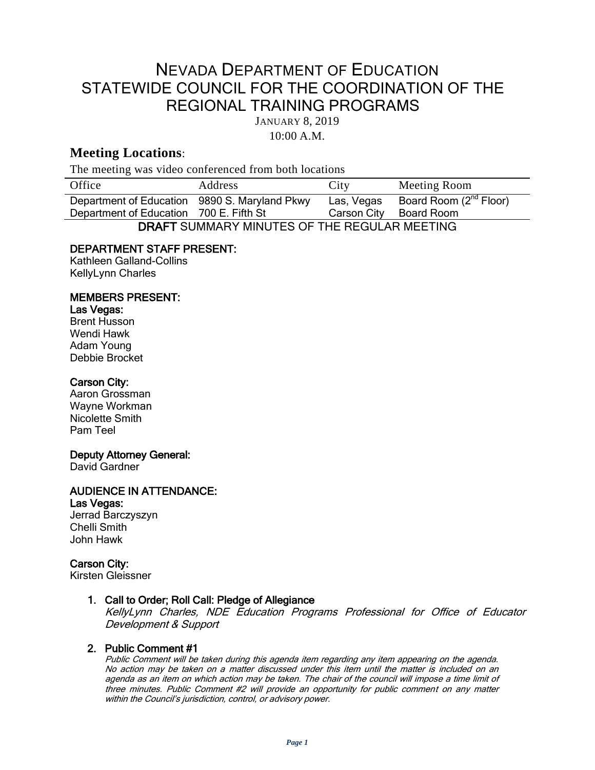# NEVADA DEPARTMENT OF EDUCATION STATEWIDE COUNCIL FOR THE COORDINATION OF THE REGIONAL TRAINING PROGRAMS

JANUARY 8, 2019

10:00 A.M.

# **Meeting Locations**:

The meeting was video conferenced from both locations

| Office                                          | <b>Address</b> | City        | Meeting Room                       |
|-------------------------------------------------|----------------|-------------|------------------------------------|
| Department of Education 9890 S. Maryland Pkwy   |                | Las, Vegas  | Board Room (2 <sup>nd</sup> Floor) |
| Department of Education 700 E. Fifth St         |                | Carson City | Board Room                         |
| DRAFT SUMMARY MINI ITES OF THE REGULAR MEETING. |                |             |                                    |

DRAFT SUMMARY MINUTES OF THE REGULAR MEETING

## DEPARTMENT STAFF PRESENT:

Kathleen Galland-Collins KellyLynn Charles

## MEMBERS PRESENT:

#### Las Vegas:

Brent Husson Wendi Hawk Adam Young Debbie Brocket

#### Carson City:

Aaron Grossman Wayne Workman Nicolette Smith Pam Teel

### Deputy Attorney General:

David Gardner

# AUDIENCE IN ATTENDANCE:

## Las Vegas:

Jerrad Barczyszyn Chelli Smith John Hawk

## Carson City:

Kirsten Gleissner

## 1. Call to Order; Roll Call: Pledge of Allegiance

KellyLynn Charles, NDE Education Programs Professional for Office of Educator Development & Support

## 2. Public Comment #1

Public Comment will be taken during this agenda item regarding any item appearing on the agenda. No action may be taken on a matter discussed under this item until the matter is included on an agenda as an item on which action may be taken. The chair of the council will impose <sup>a</sup> time limit of three minutes. Public Comment #2 will provide an opportunity for public comment on any matter within the Council's jurisdiction, control, or advisory power.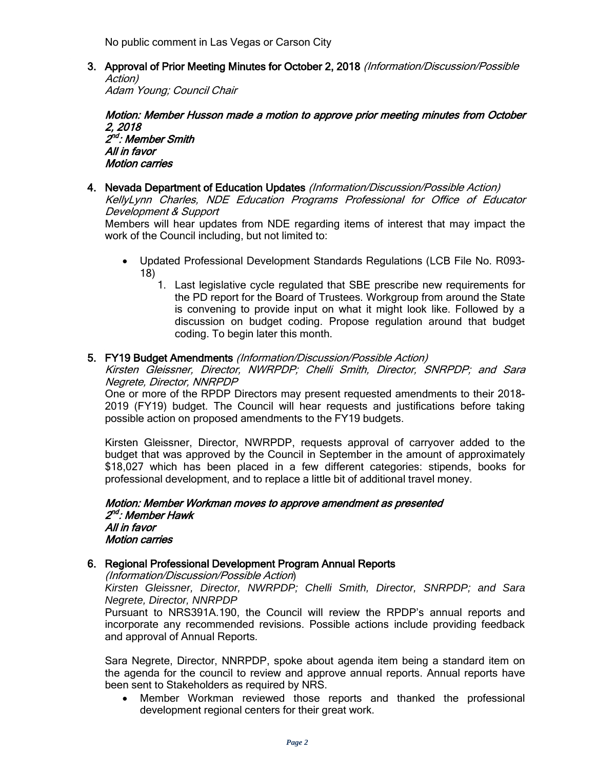No public comment in Las Vegas or Carson City

3. Approval of Prior Meeting Minutes for October 2, 2018 (Information/Discussion/Possible Action)

Adam Young; Council Chair

#### Motion: Member Husson made a motion to approve prior meeting minutes from October 2, 2018 2<sup>nd</sup>: Member Smith All in favor Motion carries

4. Nevada Department of Education Updates (Information/Discussion/Possible Action) KellyLynn Charles, NDE Education Programs Professional for Office of Educator Development & Support

Members will hear updates from NDE regarding items of interest that may impact the work of the Council including, but not limited to:

- Updated Professional Development Standards Regulations (LCB File No. R093- 18)
	- 1. Last legislative cycle regulated that SBE prescribe new requirements for the PD report for the Board of Trustees. Workgroup from around the State is convening to provide input on what it might look like. Followed by a discussion on budget coding. Propose regulation around that budget coding. To begin later this month.

### 5. FY19 Budget Amendments (Information/Discussion/Possible Action)

Kirsten Gleissner, Director, NWRPDP; Chelli Smith, Director, SNRPDP; and Sara Negrete, Director, NNRPDP

One or more of the RPDP Directors may present requested amendments to their 2018- 2019 (FY19) budget. The Council will hear requests and justifications before taking possible action on proposed amendments to the FY19 budgets.

Kirsten Gleissner, Director, NWRPDP, requests approval of carryover added to the budget that was approved by the Council in September in the amount of approximately \$18,027 which has been placed in a few different categories: stipends, books for professional development, and to replace a little bit of additional travel money.

Motion: Member Workman moves to approve amendment as presented 2<sup>nd</sup>: Member Hawk All in favor Motion carries

## 6. Regional Professional Development Program Annual Reports

(Information/Discussion/Possible Action)

*Kirsten Gleissner, Director, NWRPDP; Chelli Smith, Director, SNRPDP; and Sara Negrete, Director, NNRPDP*

Pursuant to NRS391A.190, the Council will review the RPDP's annual reports and incorporate any recommended revisions. Possible actions include providing feedback and approval of Annual Reports.

Sara Negrete, Director, NNRPDP, spoke about agenda item being a standard item on the agenda for the council to review and approve annual reports. Annual reports have been sent to Stakeholders as required by NRS.

• Member Workman reviewed those reports and thanked the professional development regional centers for their great work.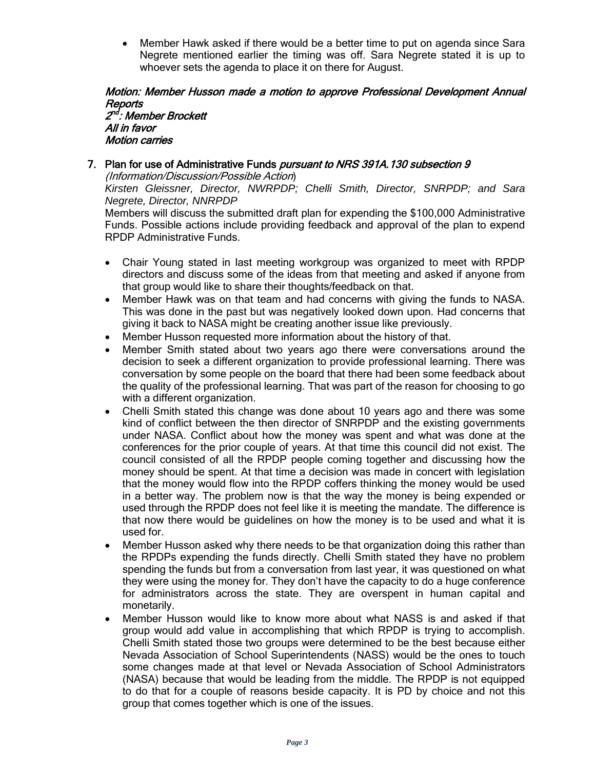• Member Hawk asked if there would be a better time to put on agenda since Sara Negrete mentioned earlier the timing was off. Sara Negrete stated it is up to whoever sets the agenda to place it on there for August.

#### Motion: Member Husson made a motion to approve Professional Development Annual Reports 2<sup>nd</sup>: Member Brockett All in favor

Motion carries

## 7. Plan for use of Administrative Funds *pursuant to NRS 391A.130 subsection 9*

(Information/Discussion/Possible Action)

*Kirsten Gleissner, Director, NWRPDP; Chelli Smith, Director, SNRPDP; and Sara Negrete, Director, NNRPDP*

Members will discuss the submitted draft plan for expending the \$100,000 Administrative Funds. Possible actions include providing feedback and approval of the plan to expend RPDP Administrative Funds.

- Chair Young stated in last meeting workgroup was organized to meet with RPDP directors and discuss some of the ideas from that meeting and asked if anyone from that group would like to share their thoughts/feedback on that.
- Member Hawk was on that team and had concerns with giving the funds to NASA. This was done in the past but was negatively looked down upon. Had concerns that giving it back to NASA might be creating another issue like previously.
- Member Husson requested more information about the history of that.
- Member Smith stated about two years ago there were conversations around the decision to seek a different organization to provide professional learning. There was conversation by some people on the board that there had been some feedback about the quality of the professional learning. That was part of the reason for choosing to go with a different organization.
- Chelli Smith stated this change was done about 10 years ago and there was some kind of conflict between the then director of SNRPDP and the existing governments under NASA. Conflict about how the money was spent and what was done at the conferences for the prior couple of years. At that time this council did not exist. The council consisted of all the RPDP people coming together and discussing how the money should be spent. At that time a decision was made in concert with legislation that the money would flow into the RPDP coffers thinking the money would be used in a better way. The problem now is that the way the money is being expended or used through the RPDP does not feel like it is meeting the mandate. The difference is that now there would be guidelines on how the money is to be used and what it is used for.
- Member Husson asked why there needs to be that organization doing this rather than the RPDPs expending the funds directly. Chelli Smith stated they have no problem spending the funds but from a conversation from last year, it was questioned on what they were using the money for. They don't have the capacity to do a huge conference for administrators across the state. They are overspent in human capital and monetarily.
- Member Husson would like to know more about what NASS is and asked if that group would add value in accomplishing that which RPDP is trying to accomplish. Chelli Smith stated those two groups were determined to be the best because either Nevada Association of School Superintendents (NASS) would be the ones to touch some changes made at that level or Nevada Association of School Administrators (NASA) because that would be leading from the middle. The RPDP is not equipped to do that for a couple of reasons beside capacity. It is PD by choice and not this group that comes together which is one of the issues.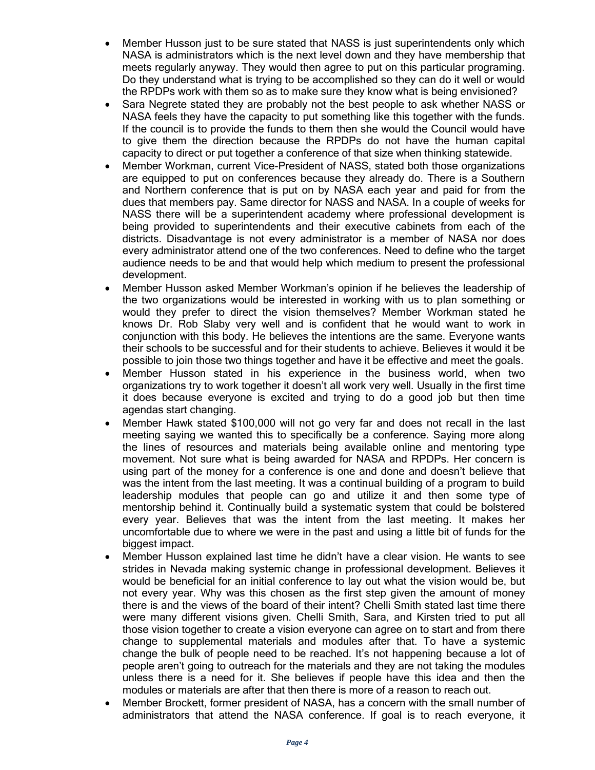- Member Husson just to be sure stated that NASS is just superintendents only which NASA is administrators which is the next level down and they have membership that meets regularly anyway. They would then agree to put on this particular programing. Do they understand what is trying to be accomplished so they can do it well or would the RPDPs work with them so as to make sure they know what is being envisioned?
- Sara Negrete stated they are probably not the best people to ask whether NASS or NASA feels they have the capacity to put something like this together with the funds. If the council is to provide the funds to them then she would the Council would have to give them the direction because the RPDPs do not have the human capital capacity to direct or put together a conference of that size when thinking statewide.
- Member Workman, current Vice-President of NASS, stated both those organizations are equipped to put on conferences because they already do. There is a Southern and Northern conference that is put on by NASA each year and paid for from the dues that members pay. Same director for NASS and NASA. In a couple of weeks for NASS there will be a superintendent academy where professional development is being provided to superintendents and their executive cabinets from each of the districts. Disadvantage is not every administrator is a member of NASA nor does every administrator attend one of the two conferences. Need to define who the target audience needs to be and that would help which medium to present the professional development.
- Member Husson asked Member Workman's opinion if he believes the leadership of the two organizations would be interested in working with us to plan something or would they prefer to direct the vision themselves? Member Workman stated he knows Dr. Rob Slaby very well and is confident that he would want to work in conjunction with this body. He believes the intentions are the same. Everyone wants their schools to be successful and for their students to achieve. Believes it would it be possible to join those two things together and have it be effective and meet the goals.
- Member Husson stated in his experience in the business world, when two organizations try to work together it doesn't all work very well. Usually in the first time it does because everyone is excited and trying to do a good job but then time agendas start changing.
- Member Hawk stated \$100,000 will not go very far and does not recall in the last meeting saying we wanted this to specifically be a conference. Saying more along the lines of resources and materials being available online and mentoring type movement. Not sure what is being awarded for NASA and RPDPs. Her concern is using part of the money for a conference is one and done and doesn't believe that was the intent from the last meeting. It was a continual building of a program to build leadership modules that people can go and utilize it and then some type of mentorship behind it. Continually build a systematic system that could be bolstered every year. Believes that was the intent from the last meeting. It makes her uncomfortable due to where we were in the past and using a little bit of funds for the biggest impact.
- Member Husson explained last time he didn't have a clear vision. He wants to see strides in Nevada making systemic change in professional development. Believes it would be beneficial for an initial conference to lay out what the vision would be, but not every year. Why was this chosen as the first step given the amount of money there is and the views of the board of their intent? Chelli Smith stated last time there were many different visions given. Chelli Smith, Sara, and Kirsten tried to put all those vision together to create a vision everyone can agree on to start and from there change to supplemental materials and modules after that. To have a systemic change the bulk of people need to be reached. It's not happening because a lot of people aren't going to outreach for the materials and they are not taking the modules unless there is a need for it. She believes if people have this idea and then the modules or materials are after that then there is more of a reason to reach out.
- Member Brockett, former president of NASA, has a concern with the small number of administrators that attend the NASA conference. If goal is to reach everyone, it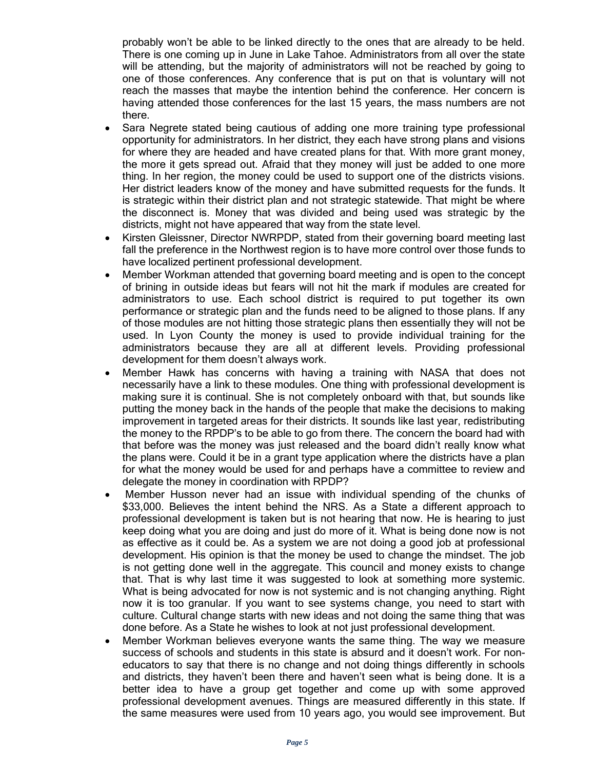probably won't be able to be linked directly to the ones that are already to be held. There is one coming up in June in Lake Tahoe. Administrators from all over the state will be attending, but the majority of administrators will not be reached by going to one of those conferences. Any conference that is put on that is voluntary will not reach the masses that maybe the intention behind the conference. Her concern is having attended those conferences for the last 15 years, the mass numbers are not there.

- Sara Negrete stated being cautious of adding one more training type professional opportunity for administrators. In her district, they each have strong plans and visions for where they are headed and have created plans for that. With more grant money, the more it gets spread out. Afraid that they money will just be added to one more thing. In her region, the money could be used to support one of the districts visions. Her district leaders know of the money and have submitted requests for the funds. It is strategic within their district plan and not strategic statewide. That might be where the disconnect is. Money that was divided and being used was strategic by the districts, might not have appeared that way from the state level.
- Kirsten Gleissner, Director NWRPDP, stated from their governing board meeting last fall the preference in the Northwest region is to have more control over those funds to have localized pertinent professional development.
- Member Workman attended that governing board meeting and is open to the concept of brining in outside ideas but fears will not hit the mark if modules are created for administrators to use. Each school district is required to put together its own performance or strategic plan and the funds need to be aligned to those plans. If any of those modules are not hitting those strategic plans then essentially they will not be used. In Lyon County the money is used to provide individual training for the administrators because they are all at different levels. Providing professional development for them doesn't always work.
- Member Hawk has concerns with having a training with NASA that does not necessarily have a link to these modules. One thing with professional development is making sure it is continual. She is not completely onboard with that, but sounds like putting the money back in the hands of the people that make the decisions to making improvement in targeted areas for their districts. It sounds like last year, redistributing the money to the RPDP's to be able to go from there. The concern the board had with that before was the money was just released and the board didn't really know what the plans were. Could it be in a grant type application where the districts have a plan for what the money would be used for and perhaps have a committee to review and delegate the money in coordination with RPDP?
- Member Husson never had an issue with individual spending of the chunks of \$33,000. Believes the intent behind the NRS. As a State a different approach to professional development is taken but is not hearing that now. He is hearing to just keep doing what you are doing and just do more of it. What is being done now is not as effective as it could be. As a system we are not doing a good job at professional development. His opinion is that the money be used to change the mindset. The job is not getting done well in the aggregate. This council and money exists to change that. That is why last time it was suggested to look at something more systemic. What is being advocated for now is not systemic and is not changing anything. Right now it is too granular. If you want to see systems change, you need to start with culture. Cultural change starts with new ideas and not doing the same thing that was done before. As a State he wishes to look at not just professional development.
- Member Workman believes everyone wants the same thing. The way we measure success of schools and students in this state is absurd and it doesn't work. For noneducators to say that there is no change and not doing things differently in schools and districts, they haven't been there and haven't seen what is being done. It is a better idea to have a group get together and come up with some approved professional development avenues. Things are measured differently in this state. If the same measures were used from 10 years ago, you would see improvement. But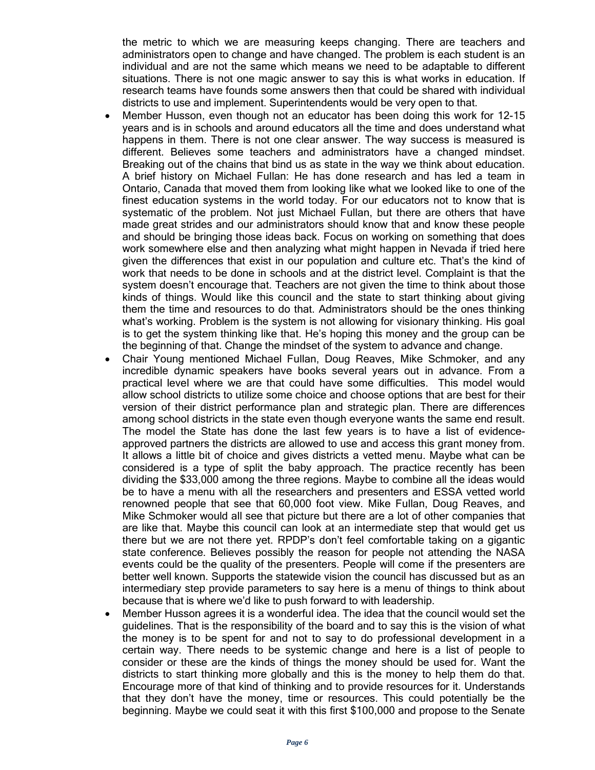the metric to which we are measuring keeps changing. There are teachers and administrators open to change and have changed. The problem is each student is an individual and are not the same which means we need to be adaptable to different situations. There is not one magic answer to say this is what works in education. If research teams have founds some answers then that could be shared with individual districts to use and implement. Superintendents would be very open to that.

- Member Husson, even though not an educator has been doing this work for 12-15 years and is in schools and around educators all the time and does understand what happens in them. There is not one clear answer. The way success is measured is different. Believes some teachers and administrators have a changed mindset. Breaking out of the chains that bind us as state in the way we think about education. A brief history on Michael Fullan: He has done research and has led a team in Ontario, Canada that moved them from looking like what we looked like to one of the finest education systems in the world today. For our educators not to know that is systematic of the problem. Not just Michael Fullan, but there are others that have made great strides and our administrators should know that and know these people and should be bringing those ideas back. Focus on working on something that does work somewhere else and then analyzing what might happen in Nevada if tried here given the differences that exist in our population and culture etc. That's the kind of work that needs to be done in schools and at the district level. Complaint is that the system doesn't encourage that. Teachers are not given the time to think about those kinds of things. Would like this council and the state to start thinking about giving them the time and resources to do that. Administrators should be the ones thinking what's working. Problem is the system is not allowing for visionary thinking. His goal is to get the system thinking like that. He's hoping this money and the group can be the beginning of that. Change the mindset of the system to advance and change.
- Chair Young mentioned Michael Fullan, Doug Reaves, Mike Schmoker, and any incredible dynamic speakers have books several years out in advance. From a practical level where we are that could have some difficulties. This model would allow school districts to utilize some choice and choose options that are best for their version of their district performance plan and strategic plan. There are differences among school districts in the state even though everyone wants the same end result. The model the State has done the last few years is to have a list of evidenceapproved partners the districts are allowed to use and access this grant money from. It allows a little bit of choice and gives districts a vetted menu. Maybe what can be considered is a type of split the baby approach. The practice recently has been dividing the \$33,000 among the three regions. Maybe to combine all the ideas would be to have a menu with all the researchers and presenters and ESSA vetted world renowned people that see that 60,000 foot view. Mike Fullan, Doug Reaves, and Mike Schmoker would all see that picture but there are a lot of other companies that are like that. Maybe this council can look at an intermediate step that would get us there but we are not there yet. RPDP's don't feel comfortable taking on a gigantic state conference. Believes possibly the reason for people not attending the NASA events could be the quality of the presenters. People will come if the presenters are better well known. Supports the statewide vision the council has discussed but as an intermediary step provide parameters to say here is a menu of things to think about because that is where we'd like to push forward to with leadership.
- Member Husson agrees it is a wonderful idea. The idea that the council would set the guidelines. That is the responsibility of the board and to say this is the vision of what the money is to be spent for and not to say to do professional development in a certain way. There needs to be systemic change and here is a list of people to consider or these are the kinds of things the money should be used for. Want the districts to start thinking more globally and this is the money to help them do that. Encourage more of that kind of thinking and to provide resources for it. Understands that they don't have the money, time or resources. This could potentially be the beginning. Maybe we could seat it with this first \$100,000 and propose to the Senate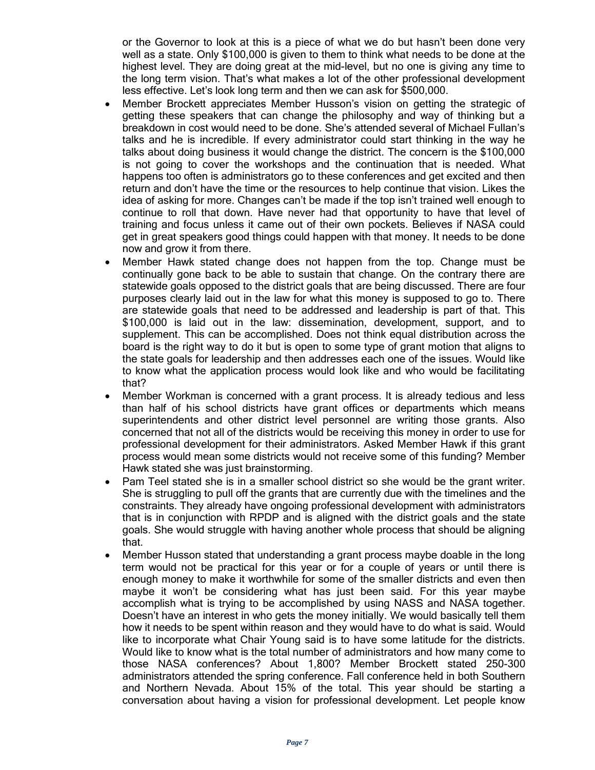or the Governor to look at this is a piece of what we do but hasn't been done very well as a state. Only \$100,000 is given to them to think what needs to be done at the highest level. They are doing great at the mid-level, but no one is giving any time to the long term vision. That's what makes a lot of the other professional development less effective. Let's look long term and then we can ask for \$500,000.

- Member Brockett appreciates Member Husson's vision on getting the strategic of getting these speakers that can change the philosophy and way of thinking but a breakdown in cost would need to be done. She's attended several of Michael Fullan's talks and he is incredible. If every administrator could start thinking in the way he talks about doing business it would change the district. The concern is the \$100,000 is not going to cover the workshops and the continuation that is needed. What happens too often is administrators go to these conferences and get excited and then return and don't have the time or the resources to help continue that vision. Likes the idea of asking for more. Changes can't be made if the top isn't trained well enough to continue to roll that down. Have never had that opportunity to have that level of training and focus unless it came out of their own pockets. Believes if NASA could get in great speakers good things could happen with that money. It needs to be done now and grow it from there.
- Member Hawk stated change does not happen from the top. Change must be continually gone back to be able to sustain that change. On the contrary there are statewide goals opposed to the district goals that are being discussed. There are four purposes clearly laid out in the law for what this money is supposed to go to. There are statewide goals that need to be addressed and leadership is part of that. This \$100,000 is laid out in the law: dissemination, development, support, and to supplement. This can be accomplished. Does not think equal distribution across the board is the right way to do it but is open to some type of grant motion that aligns to the state goals for leadership and then addresses each one of the issues. Would like to know what the application process would look like and who would be facilitating that?
- Member Workman is concerned with a grant process. It is already tedious and less than half of his school districts have grant offices or departments which means superintendents and other district level personnel are writing those grants. Also concerned that not all of the districts would be receiving this money in order to use for professional development for their administrators. Asked Member Hawk if this grant process would mean some districts would not receive some of this funding? Member Hawk stated she was just brainstorming.
- Pam Teel stated she is in a smaller school district so she would be the grant writer. She is struggling to pull off the grants that are currently due with the timelines and the constraints. They already have ongoing professional development with administrators that is in conjunction with RPDP and is aligned with the district goals and the state goals. She would struggle with having another whole process that should be aligning that.
- Member Husson stated that understanding a grant process maybe doable in the long term would not be practical for this year or for a couple of years or until there is enough money to make it worthwhile for some of the smaller districts and even then maybe it won't be considering what has just been said. For this year maybe accomplish what is trying to be accomplished by using NASS and NASA together. Doesn't have an interest in who gets the money initially. We would basically tell them how it needs to be spent within reason and they would have to do what is said. Would like to incorporate what Chair Young said is to have some latitude for the districts. Would like to know what is the total number of administrators and how many come to those NASA conferences? About 1,800? Member Brockett stated 250-300 administrators attended the spring conference. Fall conference held in both Southern and Northern Nevada. About 15% of the total. This year should be starting a conversation about having a vision for professional development. Let people know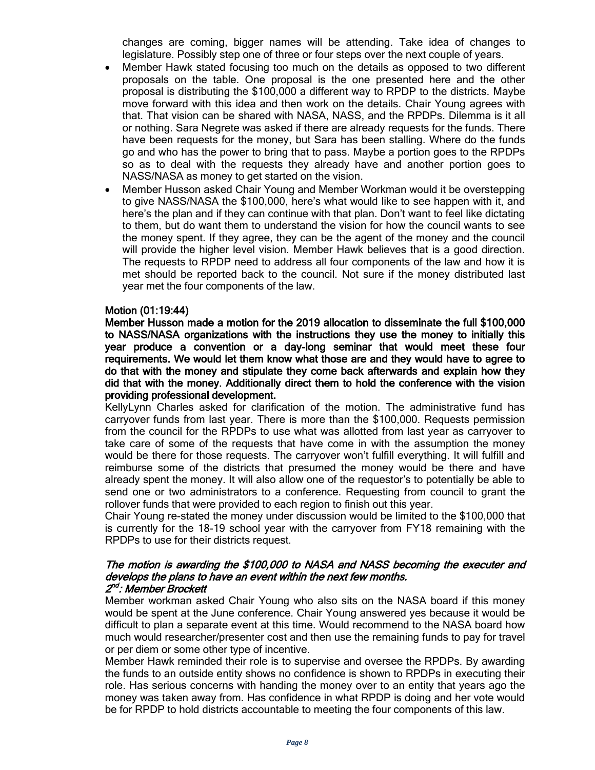changes are coming, bigger names will be attending. Take idea of changes to legislature. Possibly step one of three or four steps over the next couple of years.

- Member Hawk stated focusing too much on the details as opposed to two different proposals on the table. One proposal is the one presented here and the other proposal is distributing the \$100,000 a different way to RPDP to the districts. Maybe move forward with this idea and then work on the details. Chair Young agrees with that. That vision can be shared with NASA, NASS, and the RPDPs. Dilemma is it all or nothing. Sara Negrete was asked if there are already requests for the funds. There have been requests for the money, but Sara has been stalling. Where do the funds go and who has the power to bring that to pass. Maybe a portion goes to the RPDPs so as to deal with the requests they already have and another portion goes to NASS/NASA as money to get started on the vision.
- Member Husson asked Chair Young and Member Workman would it be overstepping to give NASS/NASA the \$100,000, here's what would like to see happen with it, and here's the plan and if they can continue with that plan. Don't want to feel like dictating to them, but do want them to understand the vision for how the council wants to see the money spent. If they agree, they can be the agent of the money and the council will provide the higher level vision. Member Hawk believes that is a good direction. The requests to RPDP need to address all four components of the law and how it is met should be reported back to the council. Not sure if the money distributed last year met the four components of the law.

#### Motion (01:19:44)

Member Husson made a motion for the 2019 allocation to disseminate the full \$100,000 to NASS/NASA organizations with the instructions they use the money to initially this year produce a convention or a day-long seminar that would meet these four requirements. We would let them know what those are and they would have to agree to do that with the money and stipulate they come back afterwards and explain how they did that with the money. Additionally direct them to hold the conference with the vision providing professional development.

KellyLynn Charles asked for clarification of the motion. The administrative fund has carryover funds from last year. There is more than the \$100,000. Requests permission from the council for the RPDPs to use what was allotted from last year as carryover to take care of some of the requests that have come in with the assumption the money would be there for those requests. The carryover won't fulfill everything. It will fulfill and reimburse some of the districts that presumed the money would be there and have already spent the money. It will also allow one of the requestor's to potentially be able to send one or two administrators to a conference. Requesting from council to grant the rollover funds that were provided to each region to finish out this year.

Chair Young re-stated the money under discussion would be limited to the \$100,000 that is currently for the 18-19 school year with the carryover from FY18 remaining with the RPDPs to use for their districts request.

#### The motion is awarding the \$100,000 to NASA and NASS becoming the executer and develops the plans to have an event within the next few months. 2<sup>nd</sup>: Member Brockett

Member workman asked Chair Young who also sits on the NASA board if this money would be spent at the June conference. Chair Young answered yes because it would be difficult to plan a separate event at this time. Would recommend to the NASA board how much would researcher/presenter cost and then use the remaining funds to pay for travel or per diem or some other type of incentive.

Member Hawk reminded their role is to supervise and oversee the RPDPs. By awarding the funds to an outside entity shows no confidence is shown to RPDPs in executing their role. Has serious concerns with handing the money over to an entity that years ago the money was taken away from. Has confidence in what RPDP is doing and her vote would be for RPDP to hold districts accountable to meeting the four components of this law.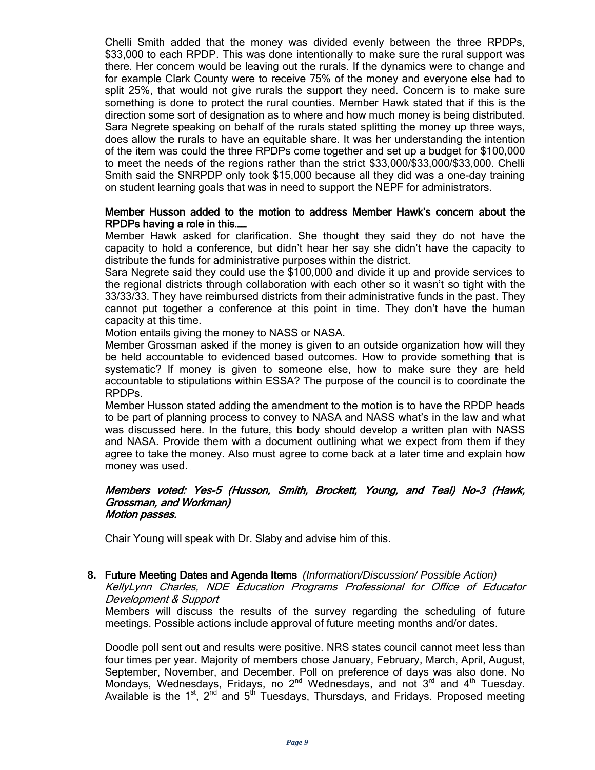Chelli Smith added that the money was divided evenly between the three RPDPs, \$33,000 to each RPDP. This was done intentionally to make sure the rural support was there. Her concern would be leaving out the rurals. If the dynamics were to change and for example Clark County were to receive 75% of the money and everyone else had to split 25%, that would not give rurals the support they need. Concern is to make sure something is done to protect the rural counties. Member Hawk stated that if this is the direction some sort of designation as to where and how much money is being distributed. Sara Negrete speaking on behalf of the rurals stated splitting the money up three ways, does allow the rurals to have an equitable share. It was her understanding the intention of the item was could the three RPDPs come together and set up a budget for \$100,000 to meet the needs of the regions rather than the strict \$33,000/\$33,000/\$33,000. Chelli Smith said the SNRPDP only took \$15,000 because all they did was a one-day training on student learning goals that was in need to support the NEPF for administrators.

#### Member Husson added to the motion to address Member Hawk's concern about the RPDPs having a role in this……

Member Hawk asked for clarification. She thought they said they do not have the capacity to hold a conference, but didn't hear her say she didn't have the capacity to distribute the funds for administrative purposes within the district.

Sara Negrete said they could use the \$100,000 and divide it up and provide services to the regional districts through collaboration with each other so it wasn't so tight with the 33/33/33. They have reimbursed districts from their administrative funds in the past. They cannot put together a conference at this point in time. They don't have the human capacity at this time.

Motion entails giving the money to NASS or NASA.

Member Grossman asked if the money is given to an outside organization how will they be held accountable to evidenced based outcomes. How to provide something that is systematic? If money is given to someone else, how to make sure they are held accountable to stipulations within ESSA? The purpose of the council is to coordinate the RPDPs.

Member Husson stated adding the amendment to the motion is to have the RPDP heads to be part of planning process to convey to NASA and NASS what's in the law and what was discussed here. In the future, this body should develop a written plan with NASS and NASA. Provide them with a document outlining what we expect from them if they agree to take the money. Also must agree to come back at a later time and explain how money was used.

#### Members voted: Yes-5 (Husson, Smith, Brockett, Young, and Teal) No-3 (Hawk, Grossman, and Workman) Motion passes.

Chair Young will speak with Dr. Slaby and advise him of this.

## **8.** Future Meeting Dates and Agenda Items *(Information/Discussion/ Possible Action)*

KellyLynn Charles, NDE Education Programs Professional for Office of Educator Development & Support

Members will discuss the results of the survey regarding the scheduling of future meetings. Possible actions include approval of future meeting months and/or dates.

Doodle poll sent out and results were positive. NRS states council cannot meet less than four times per year. Majority of members chose January, February, March, April, August, September, November, and December. Poll on preference of days was also done. No Mondays, Wednesdays, Fridays, no 2<sup>nd</sup> Wednesdays, and not 3<sup>rd</sup> and 4<sup>th</sup> Tuesday. Available is the  $1^{st}$ ,  $2^{nd}$  and  $5^{th}$  Tuesdays, Thursdays, and Fridays. Proposed meeting